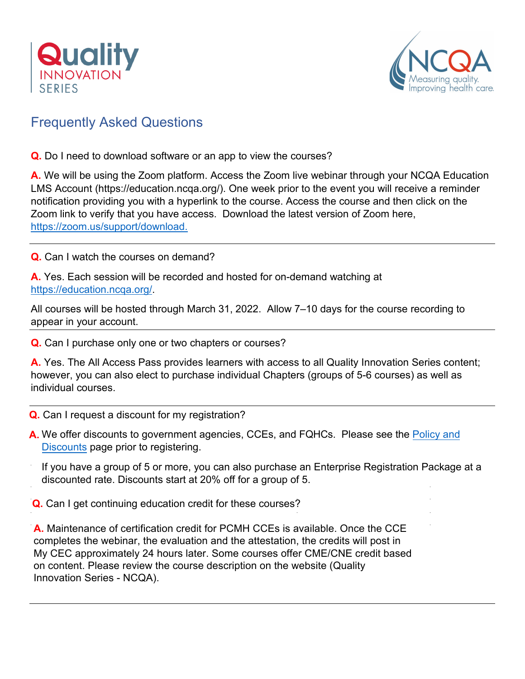



## Frequently Asked Questions

**Q.** Do I need to download software or an app to view the courses?

**A.** We will be using the Zoom platform. Access the Zoom live webinar through your NCQA Education LMS Account (https://education.ncqa.org/). One week prior to the event you will receive a reminder notification providing you with a hyperlink to the course. Access the course and then click on the Zoom link to verify that you have access. Download the latest version of Zoom here, [https://zoom.us/support/download.](https://zoom.us/support/download)

**Q.** Can I watch the courses on demand?

**A.** Yes. Each session will be recorded and hosted for on-demand watching at [https://education.ncqa.org/.](https://education.ncqa.org/)

All courses will be hosted through March 31, 2022. Allow 7–10 days for the course recording to appear in your account.

**Q.** Can I purchase only one or two chapters or courses?

**A.** Yes. The All Access Pass provides learners with access to all Quality Innovation Series content; however, you can also elect to purchase individual Chapters (groups of 5-6 courses) as well as individual courses.

- **Q.** Can I request a discount for my registration?
- **A.** We offer discounts to government agencies, CCEs, and FQHCs. Please see the Policy and Discounts page prior to registering.
	- If you have a group of 5 or more, you can also purchase an Enterprise Registration Package at a discounted rate. Discounts start at 20% off for a group of 5.

**Q.** Can I get continuing education credit for these courses?

**A.** Maintenance of certification credit for PCMH CCEs is available. Once the CCE completes the webinar, the evaluation and the attestation, the credits will post in My CEC approximately 24 hours later. Some courses offer CME/CNE credit based [on conten](https://www.ncqa.org/education-training/policies-and-discounts/)t. Please review the course description on the website (Quality Innovation Series - NCQA).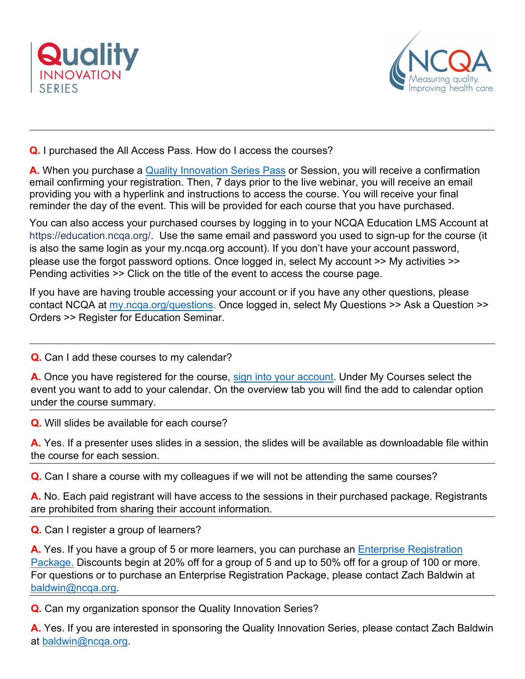



**Q.** I purchas[ed the All Access Pass. How](https://www.ncqa.org/education-training/quality-innovation-series/) do I access the courses?

**A.** When you purchase a Quality [Innovation Series Pass](https://education.ncqa.org/2021-quality-innovation-series/content/quality-innovation-series-2021-all-access-pass) or Session, you will receive a confirmation email confirming your registration. Then, 7 days prior to the live webinar, you will receive an email providing you with a hyperlink and instructions to access the course. You will receive your final reminder the day of the event. This will be provided for each course that you have purchased.

You can also access your purchased courses by logging in to your NCQA Education LMS Account at https://education.ncqa.org/. Use the same email and password you used to sign-up for the course (it is also the same login as your my.ncqa.org account). If you don't have your account password, please use the forgot password options. Once logged in, select My account >> My activities >> Pending activities >> Click on the title of the event to access the course page.

If you have are having trouble accessing your account or if you have any other questions, please contact NCQA at [my.ncqa.org/questions.](https://my.ncqa.org/questions) Once logged in, select My Questions >> Ask a Question >> Orders >> Register for Education Seminar.

**Q.** Can I add these courses to my calendar?

A. Once you have registered for the course, [sign into your account.](https://education.ncqa.org/) Under My Courses select the event you want to add to your calendar. On the overview tab you will find the add to calendar option under the course summary.

**Q.** Will slides be available for each course?

**A.** Yes. If a presenter uses slides in a session, the slides will be available as downloadable file within the course for each session.

**Q.** Can I share a course with my colleagues if we will not be attending the same courses?

**A.** No. Each paid registrant will have access to the sessions in their purchased package. Registrants are prohibited from sharing their account information.

**Q.** Can I register a group of learners?

A. Yes. If you have a group of 5 or more learners, you can purchase an **Enterprise Registration** [Package.](https://www.ncqa.org/education-training/quality-innovation-series/education-training-quality-innovation-series-enterprise-licenses/) Discounts begin at 20% off for a group of 5 and up to 50% off for a group of 100 or more. For questions or to purchase an Enterprise Registration Package, please contact Zach Baldwin at [baldwin@ncqa.org.](mailto:baldwin@ncqa.org)

**Q.** Can my organization sponsor the Quality Innovation Series?

**A.** Yes. If you are interested in sponsoring the Quality Innovation Series, please contact Zach Baldwin at [baldwin@ncqa.org.](mailto:baldwin@ncqa.org)